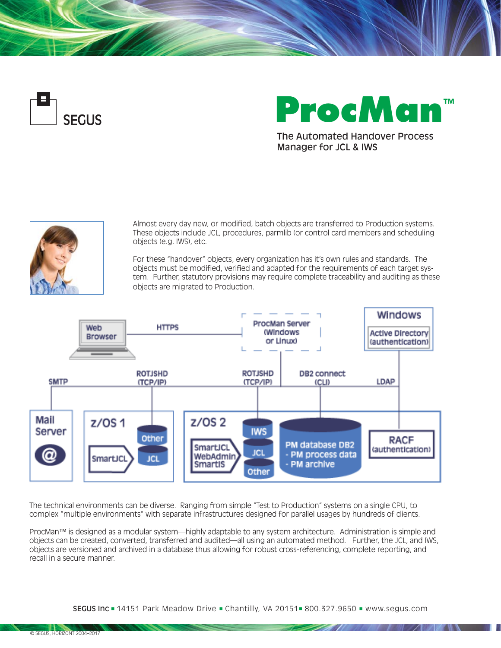



The Automated Handover Process Manager for JCL & IWS



Almost every day new, or modified, batch objects are transferred to Production systems. These objects include JCL, procedures, parmlib (or control card members and scheduling objects (e.g. IWS), etc.

For these "handover" objects, every organization has it's own rules and standards. The objects must be modified, verified and adapted for the requirements of each target system. Further, statutory provisions may require complete traceability and auditing as these objects are migrated to Production.



The technical environments can be diverse. Ranging from simple "Test to Production" systems on a single CPU, to complex "multiple environments" with separate infrastructures designed for parallel usages by hundreds of clients.

ProcMan™ is designed as a modular system—highly adaptable to any system architecture. Administration is simple and objects can be created, converted, transferred and audited—all using an automated method. Further, the JCL, and IWS, objects are versioned and archived in a database thus allowing for robust cross-referencing, complete reporting, and recall in a secure manner.